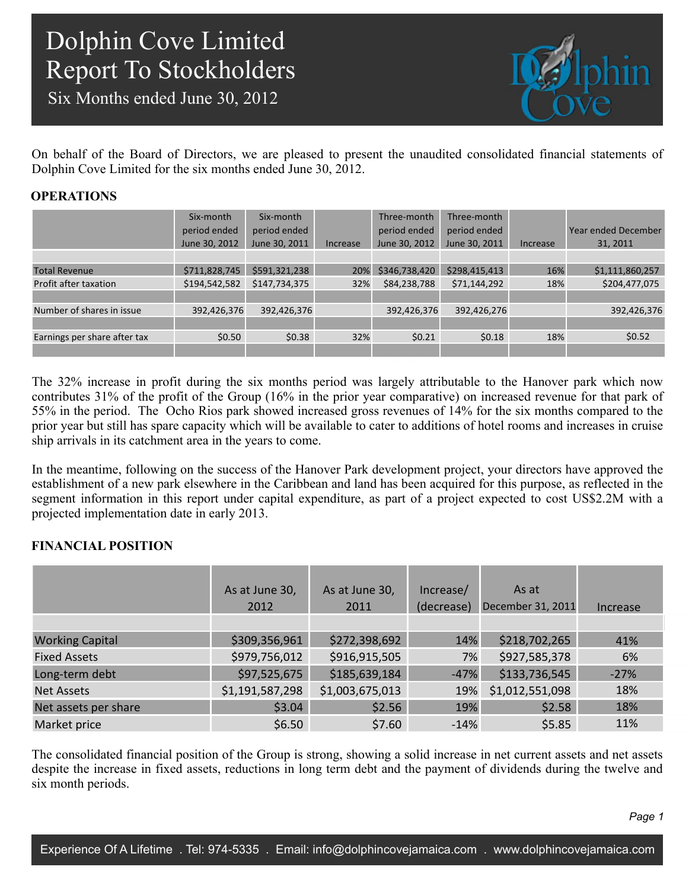Six Months ended June 30, 2012



On behalf of the Board of Directors, we are pleased to present the unaudited consolidated financial statements of Dolphin Cove Limited for the six months ended June 30, 2012.

### **OPERATIONS**

|                              | Six-month<br>period ended | Six-month<br>period ended |          | Three-month<br>period ended | Three-month<br>period ended |          | <b>Year ended December</b> |
|------------------------------|---------------------------|---------------------------|----------|-----------------------------|-----------------------------|----------|----------------------------|
|                              | June 30, 2012             | June 30, 2011             | Increase | June 30, 2012               | June 30, 2011               | Increase | 31, 2011                   |
|                              |                           |                           |          |                             |                             |          |                            |
| <b>Total Revenue</b>         | \$711,828,745             | \$591,321,238             | 20%      | \$346,738,420               | \$298,415,413               | 16%      | \$1,111,860,257            |
| Profit after taxation        | \$194,542,582             | \$147,734,375             | 32%      | \$84,238,788                | \$71,144,292                | 18%      | \$204,477,075              |
|                              |                           |                           |          |                             |                             |          |                            |
| Number of shares in issue    | 392,426,376               | 392,426,376               |          | 392,426,376                 | 392,426,276                 |          | 392,426,376                |
|                              |                           |                           |          |                             |                             |          |                            |
| Earnings per share after tax | \$0.50                    | \$0.38                    | 32%      | \$0.21                      | \$0.18                      | 18%      | \$0.52                     |
|                              |                           |                           |          |                             |                             |          |                            |
|                              |                           |                           |          |                             |                             |          |                            |

The 32% increase in profit during the six months period was largely attributable to the Hanover park which now contributes 31% of the profit of the Group (16% in the prior year comparative) on increased revenue for that park of 55% in the period. The Ocho Rios park showed increased gross revenues of 14% for the six months compared to the prior year but still has spare capacity which will be available to cater to additions of hotel rooms and increases in cruise ship arrivals in its catchment area in the years to come.

In the meantime, following on the success of the Hanover Park development project, your directors have approved the establishment of a new park elsewhere in the Caribbean and land has been acquired for this purpose, as reflected in the segment information in this report under capital expenditure, as part of a project expected to cost US\$2.2M with a projected implementation date in early 2013.

### **FINANCIAL POSITION**

|                        | As at June 30,  | As at June 30,  | Increase/  | As at             |          |
|------------------------|-----------------|-----------------|------------|-------------------|----------|
|                        | 2012            | 2011            | (decrease) | December 31, 2011 | Increase |
|                        |                 |                 |            |                   |          |
| <b>Working Capital</b> | \$309,356,961   | \$272,398,692   | 14%        | \$218,702,265     | 41%      |
| <b>Fixed Assets</b>    | \$979,756,012   | \$916,915,505   | 7%         | \$927,585,378     | 6%       |
| Long-term debt         | \$97,525,675    | \$185,639,184   | $-47%$     | \$133,736,545     | $-27%$   |
| <b>Net Assets</b>      | \$1,191,587,298 | \$1,003,675,013 | 19%        | \$1,012,551,098   | 18%      |
| Net assets per share   | \$3.04\$        | \$2.56          | 19%        | \$2.58            | 18%      |
| Market price           | \$6.50          | \$7.60          | $-14%$     | \$5.85            | 11%      |

The consolidated financial position of the Group is strong, showing a solid increase in net current assets and net assets despite the increase in fixed assets, reductions in long term debt and the payment of dividends during the twelve and six month periods.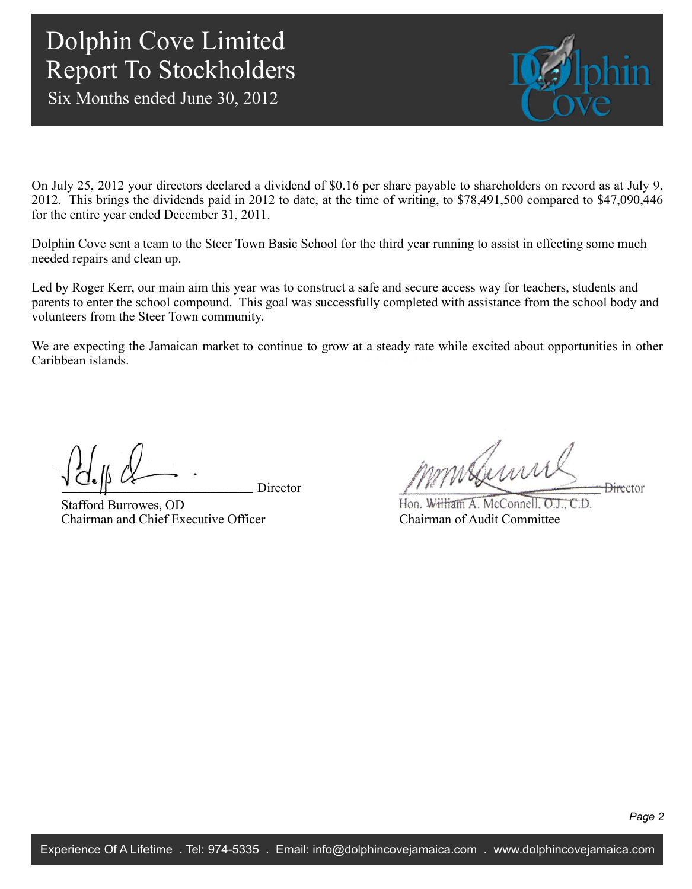Six Months ended June 30, 2012



On July 25, 2012 your directors declared a dividend of \$0.16 per share payable to shareholders on record as at July 9, 2012. This brings the dividends paid in 2012 to date, at the time of writing, to \$78,491,500 compared to \$47,090,446 for the entire year ended December 31, 2011.

Dolphin Cove sent a team to the Steer Town Basic School for the third year running to assist in effecting some much needed repairs and clean up.

Led by Roger Kerr, our main aim this year was to construct a safe and secure access way for teachers, students and parents to enter the school compound. This goal was successfully completed with assistance from the school body and volunteers from the Steer Town community.

392,426,376 We are expecting the Jamaican market to continue to grow at a steady rate while excited about opportunities in other Caribbean islands.

Director

Stafford Burrowes, OD Chairman and Chief Executive Officer

mmsburn **Director** 

Hon. William A. McConnell, O.J., C.D. Chairman of Audit Committee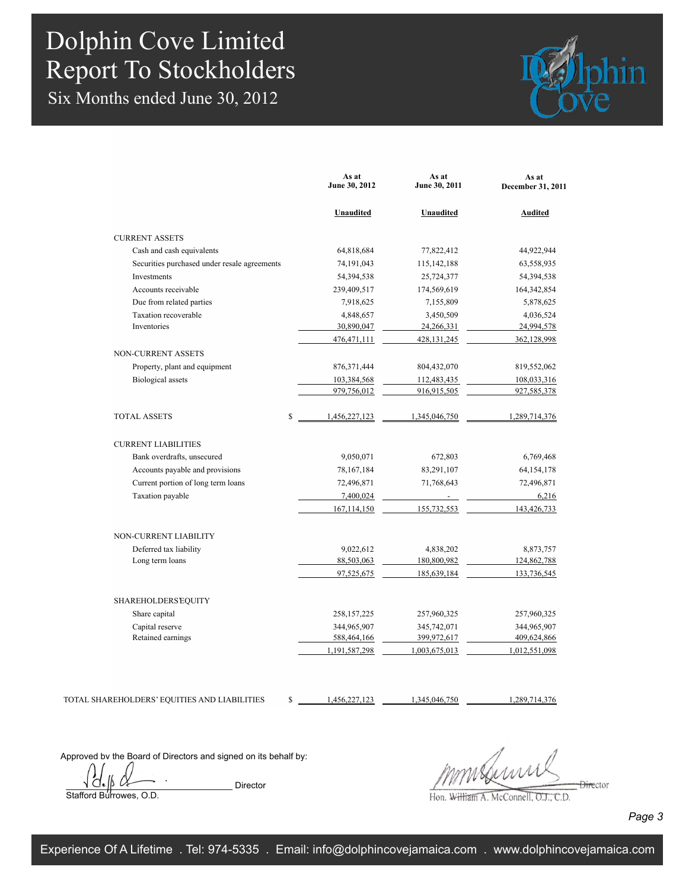Six Months ended June 30, 2012



|                                              | As at<br>June 30, 2012 | As at<br>June 30, 2011 | As at<br>December 31, 2011 |
|----------------------------------------------|------------------------|------------------------|----------------------------|
|                                              | Unaudited              | Unaudited              | <b>Audited</b>             |
| <b>CURRENT ASSETS</b>                        |                        |                        |                            |
| Cash and cash equivalents                    | 64,818,684             | 77,822,412             | 44,922,944                 |
| Securities purchased under resale agreements | 74,191,043             | 115, 142, 188          | 63,558,935                 |
| Investments                                  | 54,394,538             | 25,724,377             | 54,394,538                 |
| Accounts receivable                          | 239,409,517            | 174,569,619            | 164,342,854                |
| Due from related parties                     | 7,918,625              | 7,155,809              | 5,878,625                  |
| Taxation recoverable                         | 4,848,657              | 3,450,509              | 4,036,524                  |
| Inventories                                  | 30,890,047             | 24, 266, 331           | 24,994,578                 |
|                                              | 476, 471, 111          | 428, 131, 245          | 362,128,998                |
| <b>NON-CURRENT ASSETS</b>                    |                        |                        |                            |
| Property, plant and equipment                | 876, 371, 444          | 804,432,070            | 819,552,062                |
| <b>Biological</b> assets                     | 103,384,568            | 112,483,435            | 108,033,316                |
|                                              | 979,756,012            | 916,915,505            | 927,585,378                |
| $\mathbf S$<br><b>TOTAL ASSETS</b>           | 1,456,227,123          | 1,345,046,750          | 1,289,714,376              |
| <b>CURRENT LIABILITIES</b>                   |                        |                        |                            |
| Bank overdrafts, unsecured                   | 9,050,071              | 672,803                | 6,769,468                  |
| Accounts payable and provisions              | 78, 167, 184           | 83,291,107             | 64, 154, 178               |
| Current portion of long term loans           | 72,496,871             | 71,768,643             | 72,496,871                 |
| Taxation payable                             | 7,400,024              | $\overline{a}$         | 6,216                      |
|                                              | 167, 114, 150          | 155,732,553            | 143,426,733                |
| NON-CURRENT LIABILITY                        |                        |                        |                            |
| Deferred tax liability                       | 9,022,612              | 4,838,202              | 8,873,757                  |
| Long term loans                              | 88,503,063             | 180,800,982            | 124,862,788                |
|                                              | 97,525,675             | 185,639,184            | 133,736,545                |
| <b>SHAREHOLDERS EQUITY</b>                   |                        |                        |                            |
| Share capital                                | 258, 157, 225          | 257,960,325            | 257,960,325                |
| Capital reserve                              | 344,965,907            | 345,742,071            | 344,965,907                |
| Retained earnings                            | 588,464,166            | 399,972,617            | 409,624,866                |
|                                              | 1,191,587,298          | 1,003,675,013          | 1,012,551,098              |

TOTAL SHAREHOLDERS' EQUITIES AND LIABILITIES

\$ 1,456,227,123 1,345,046,750 1,289,714,376

Approved by the Board of Directors and signed on its behalf by:

 $\overline{\bigcup_{i=1}^{n} \bigwedge_{j=1}^{n} \bigwedge_{j=1}^{n} \bigwedge_{j=1}^{n} \bigwedge_{j=1}^{n} \bigwedge_{j=1}^{n} \bigwedge_{j=1}^{n} \bigwedge_{j=1}^{n} \bigwedge_{j=1}^{n} \bigwedge_{j=1}^{n} \bigwedge_{j=1}^{n} \bigwedge_{j=1}^{n} \bigwedge_{j=1}^{n} \bigwedge_{j=1}^{n} \bigwedge_{j=1}^{n} \bigwedge_{j=1}^{n} \bigwedge_{j=1}^{n} \bigwedge_{j=1}^{n} \big$ Stafford Burrowes, O.D.

 $\frac{1}{2}$ 

Hon. William A. McConnell, O.J., C.D.

*Page 3*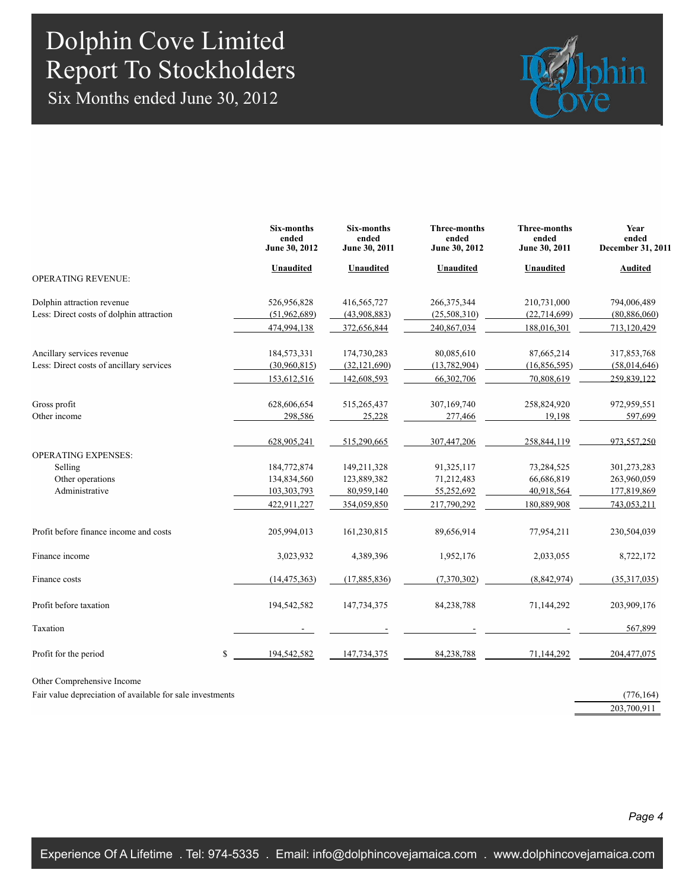Six Months ended June 30, 2012



|                                          | Six-months<br>ended<br>June 30, 2012 | Six-months<br>ended<br>June 30, 2011 | Three-months<br>ended<br>June 30, 2012 | <b>Three-months</b><br>ended<br>June 30, 2011 | Year<br>ended<br>December 31, 2011 |
|------------------------------------------|--------------------------------------|--------------------------------------|----------------------------------------|-----------------------------------------------|------------------------------------|
|                                          | Unaudited                            | Unaudited                            | Unaudited                              | <b>Unaudited</b>                              | <b>Audited</b>                     |
| <b>OPERATING REVENUE:</b>                |                                      |                                      |                                        |                                               |                                    |
| Dolphin attraction revenue               | 526,956,828                          | 416,565,727                          | 266, 375, 344                          | 210,731,000                                   | 794,006,489                        |
| Less: Direct costs of dolphin attraction | (51,962,689)                         | (43,908,883)                         | (25,508,310)                           | (22, 714, 699)                                | (80, 886, 060)                     |
|                                          | 474,994,138                          | 372,656,844                          | 240,867,034                            | 188,016,301                                   | 713,120,429                        |
| Ancillary services revenue               | 184,573,331                          | 174,730,283                          | 80,085,610                             | 87,665,214                                    | 317,853,768                        |
| Less: Direct costs of ancillary services | (30,960,815)                         | (32, 121, 690)                       | (13, 782, 904)                         | (16,856,595)                                  | (58,014,646)                       |
|                                          | 153,612,516                          | 142,608,593                          | 66,302,706                             | 70,808,619                                    | 259.839.122                        |
| Gross profit                             | 628,606,654                          | 515,265,437                          | 307,169,740                            | 258,824,920                                   | 972,959,551                        |
| Other income                             | 298,586                              | 25,228                               | 277,466                                | 19,198                                        | 597,699                            |
|                                          | 628,905,241                          | 515,290,665                          | 307,447,206                            | 258,844,119                                   | 973.557.250                        |
| <b>OPERATING EXPENSES:</b>               |                                      |                                      |                                        |                                               |                                    |
| Selling                                  | 184,772,874                          | 149,211,328                          | 91,325,117                             | 73,284,525                                    | 301,273,283                        |
| Other operations                         | 134,834,560                          | 123,889,382                          | 71,212,483                             | 66,686,819                                    | 263,960,059                        |
| Administrative                           | 103,303,793                          | 80,959,140                           | 55,252,692                             | 40,918,564                                    | 177,819,869                        |
|                                          | 422,911,227                          | 354,059,850                          | 217,790,292                            | 180,889,908                                   | 743.053.211                        |
| Profit before finance income and costs   | 205,994,013                          | 161,230,815                          | 89,656,914                             | 77,954,211                                    | 230,504,039                        |
| Finance income                           | 3,023,932                            | 4,389,396                            | 1,952,176                              | 2,033,055                                     | 8,722,172                          |
| Finance costs                            | (14, 475, 363)                       | (17,885,836)                         | (7,370,302)                            | (8,842,974)                                   | (35,317,035)                       |
| Profit before taxation                   | 194,542,582                          | 147,734,375                          | 84,238,788                             | 71,144,292                                    | 203,909,176                        |
| Taxation                                 |                                      |                                      |                                        |                                               | 567,899                            |
| Profit for the period                    | \$<br>194,542,582                    | 147,734,375                          | 84,238,788                             | 71,144,292                                    | 204,477,075                        |
|                                          |                                      |                                      |                                        |                                               |                                    |

Other Comprehensive Income

Fair value depreciation of available for sale investments (776,164)

203,700,911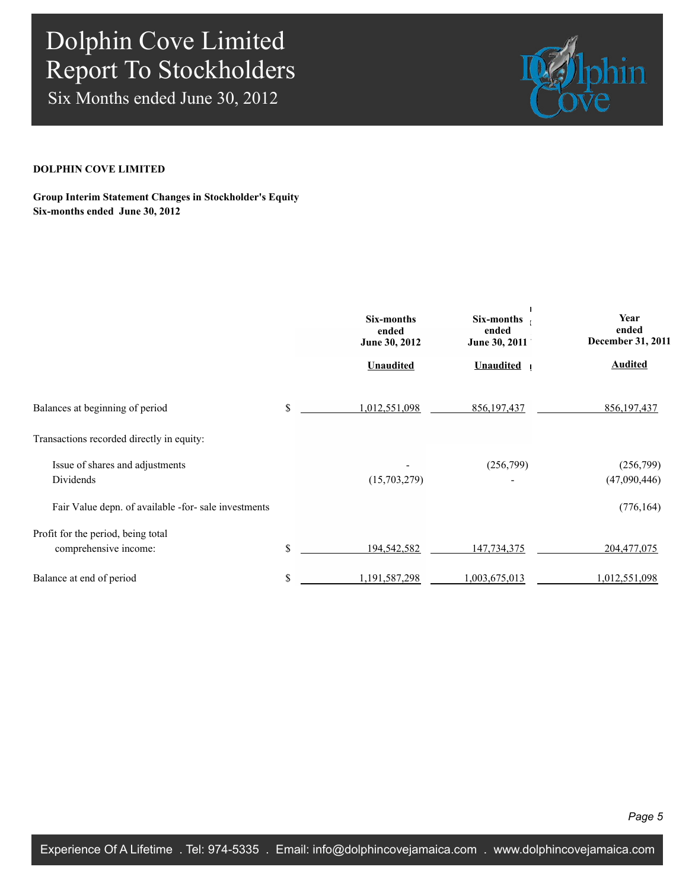Six Months ended June 30, 2012



#### **DOLPHIN COVE LIMITED**

#### **Group Interim Statement Changes in Stockholder's Equity Six-months ended June 30, 2012**

|                                                             | Six-months<br>ended<br>June 30, 2012 | Six-months<br>ended<br>June 30, 2011 | Year<br>ended<br>December 31, 2011 |  |
|-------------------------------------------------------------|--------------------------------------|--------------------------------------|------------------------------------|--|
|                                                             | <b>Unaudited</b>                     | <b>Unaudited</b>                     | <b>Audited</b>                     |  |
| Balances at beginning of period                             | \$<br>1,012,551,098                  | 856, 197, 437                        | 856, 197, 437                      |  |
| Transactions recorded directly in equity:                   |                                      |                                      |                                    |  |
| Issue of shares and adjustments<br>Dividends                | (15,703,279)                         | (256,799)                            | (256,799)<br>(47,090,446)          |  |
| Fair Value depn. of available -for- sale investments        |                                      |                                      | (776, 164)                         |  |
| Profit for the period, being total<br>comprehensive income: | \$<br>194,542,582                    | 147,734,375                          | 204,477,075                        |  |
| Balance at end of period                                    | \$<br>1,191,587,298                  | 1,003,675,013                        | 1,012,551,098                      |  |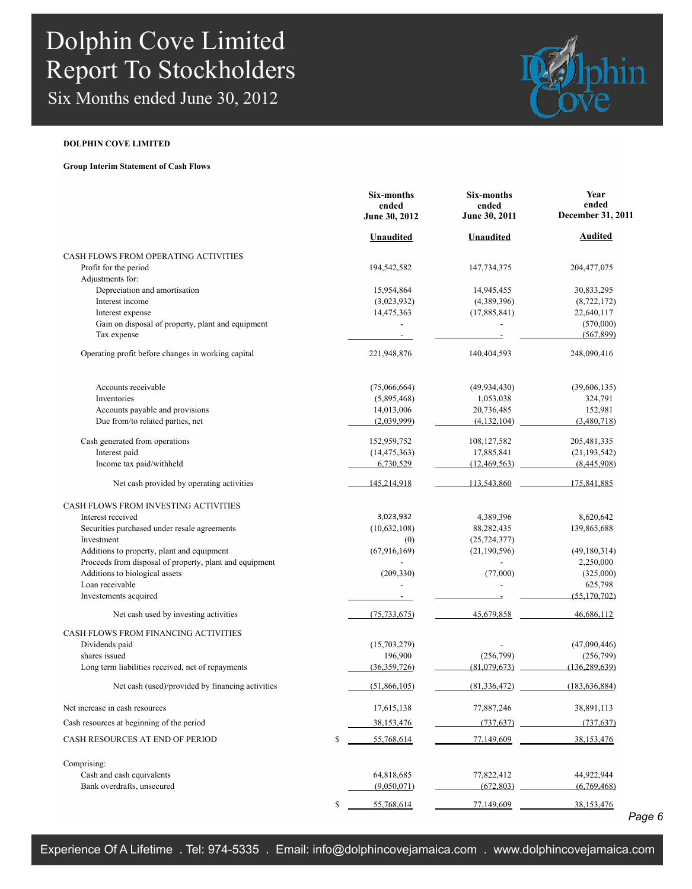Six Months ended June 30, 2012



#### **DOLPHIN COVE LIMITED**

**Group Interim Statement of Cash Flows**

|                                                         | Six-months<br>ended<br>June 30, 2012 | Six-months<br>ended<br>June 30, 2011 | Year<br>ended<br>December 31, 2011 |
|---------------------------------------------------------|--------------------------------------|--------------------------------------|------------------------------------|
|                                                         | <b>Unaudited</b>                     | <b>Unaudited</b>                     | <b>Audited</b>                     |
| CASH FLOWS FROM OPERATING ACTIVITIES                    |                                      |                                      |                                    |
| Profit for the period                                   | 194,542,582                          | 147,734,375                          | 204, 477, 075                      |
| Adjustments for:                                        |                                      |                                      |                                    |
| Depreciation and amortisation                           | 15,954,864                           | 14,945,455                           | 30,833,295                         |
| Interest income                                         | (3,023,932)                          | (4,389,396)                          | (8,722,172)                        |
| Interest expense                                        | 14,475,363                           | (17,885,841)                         | 22,640,117                         |
| Gain on disposal of property, plant and equipment       | $\overline{\phantom{0}}$             |                                      | (570,000)                          |
| Tax expense                                             |                                      |                                      | (567, 899)                         |
| Operating profit before changes in working capital      | 221,948,876                          | 140,404,593                          | 248,090,416                        |
| Accounts receivable                                     | (75,066,664)                         | (49, 934, 430)                       | (39,606,135)                       |
| Inventories                                             | (5,895,468)                          | 1,053,038                            | 324,791                            |
| Accounts payable and provisions                         | 14,013,006                           | 20,736,485                           | 152,981                            |
| Due from/to related parties, net                        | (2,039,999)                          | (4, 132, 104)                        | (3,480,718)                        |
| Cash generated from operations                          | 152,959,752                          | 108,127,582                          | 205, 481, 335                      |
| Interest paid                                           | (14, 475, 363)                       | 17,885,841                           | (21, 193, 542)                     |
| Income tax paid/withheld                                | 6,730,529                            | (12, 469, 563)                       | (8,445,908)                        |
| Net cash provided by operating activities               | 145,214,918                          | 113,543,860                          | 175,841,885                        |
| CASH FLOWS FROM INVESTING ACTIVITIES                    |                                      |                                      |                                    |
| Interest received                                       | 3,023,932                            | 4,389,396                            | 8,620,642                          |
| Securities purchased under resale agreements            | (10,632,108)                         | 88,282,435                           | 139,865,688                        |
| Investment                                              | (0)                                  | (25, 724, 377)                       |                                    |
| Additions to property, plant and equipment              | (67, 916, 169)                       | (21, 190, 596)                       | (49, 180, 314)                     |
| Proceeds from disposal of property, plant and equipment |                                      |                                      | 2,250,000                          |
| Additions to biological assets                          | (209, 330)                           | (77,000)                             | (325,000)                          |
| Loan receivable                                         |                                      |                                      | 625,798                            |
| Investements acquired                                   |                                      |                                      | (55, 170, 702)                     |
| Net cash used by investing activities                   | (75, 733, 675)                       | 45,679,858                           | 46,686,112                         |
| CASH FLOWS FROM FINANCING ACTIVITIES                    |                                      |                                      |                                    |
| Dividends paid                                          | (15,703,279)                         |                                      | (47,090,446)                       |
| shares issued                                           | 196,900                              | (256,799)                            | (256,799)                          |
| Long term liabilities received, net of repayments       | (36, 359, 726)                       | (81,079,673)                         | (136, 289, 639)                    |
| Net cash (used)/provided by financing activities        | (51,866,105)                         | (81, 336, 472)                       | (183, 636, 884)                    |
| Net increase in cash resources                          | 17,615,138                           | 77,887,246                           | 38,891,113                         |
| Cash resources at beginning of the period               | 38,153,476                           | (737, 637)                           | (737, 637)                         |
| CASH RESOURCES AT END OF PERIOD                         | \$<br>55,768,614                     | 77,149,609                           | 38,153,476                         |
| Comprising:                                             |                                      |                                      |                                    |
| Cash and cash equivalents                               | 64,818,685                           | 77,822,412                           | 44,922,944                         |
| Bank overdrafts, unsecured                              | (9,050,071)                          | (672, 803)                           | (6,769,468)                        |
|                                                         | \$<br>55,768,614                     | 77,149,609                           | 38,153,476                         |
|                                                         |                                      |                                      |                                    |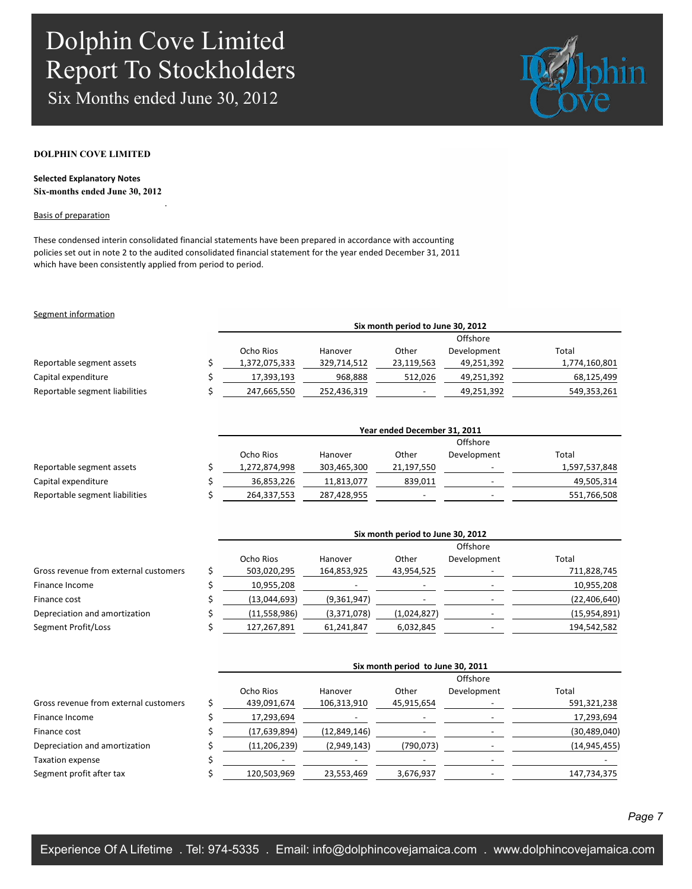Six Months ended June 30, 2012

.



#### **DOLPHIN COVE LIMITED**

**Selected Explanatory Notes Six-months ended June 30, 2012**

#### Basis of preparation

These condensed interin consolidated financial statements have been prepared in accordance with accounting policies set out in note 2 to the audited consolidated financial statement for the year ended December 31, 2011 which have been consistently applied from period to period.

#### Segment information

|                                | Six month period to June 30, 2012 |             |            |             |               |  |  |  |
|--------------------------------|-----------------------------------|-------------|------------|-------------|---------------|--|--|--|
|                                |                                   |             |            |             |               |  |  |  |
|                                | Ocho Rios                         | Hanover     | Other      | Development | Total         |  |  |  |
| Reportable segment assets      | 1,372,075,333                     | 329,714,512 | 23,119,563 | 49,251,392  | 1,774,160,801 |  |  |  |
| Capital expenditure            | 17,393,193                        | 968,888     | 512,026    | 49,251,392  | 68,125,499    |  |  |  |
| Reportable segment liabilities | 247,665,550                       | 252,436,319 |            | 49,251,392  | 549,353,261   |  |  |  |

|                                | Year ended December 31, 2011 |             |            |                          |               |  |  |  |
|--------------------------------|------------------------------|-------------|------------|--------------------------|---------------|--|--|--|
|                                | Offshore                     |             |            |                          |               |  |  |  |
|                                | Ocho Rios                    | Hanover     | Other      | Development              | Total         |  |  |  |
| Reportable segment assets      | 1,272,874,998                | 303,465,300 | 21,197,550 |                          | 1,597,537,848 |  |  |  |
| Capital expenditure            | 36,853,226                   | 11,813,077  | 839,011    |                          | 49,505,314    |  |  |  |
| Reportable segment liabilities | 264,337,553                  | 287,428,955 |            | $\overline{\phantom{0}}$ | 551,766,508   |  |  |  |

| Six month period to June 30, 2012 |             |             |             |                |  |  |
|-----------------------------------|-------------|-------------|-------------|----------------|--|--|
| Offshore                          |             |             |             |                |  |  |
| Ocho Rios                         | Hanover     | Other       | Development | Total          |  |  |
| 503,020,295                       | 164,853,925 | 43,954,525  |             | 711,828,745    |  |  |
| 10,955,208                        |             |             |             | 10,955,208     |  |  |
| (13,044,693)                      | (9,361,947) |             |             | (22, 406, 640) |  |  |
| (11,558,986)                      | (3,371,078) | (1,024,827) |             | (15,954,891)   |  |  |
| 127,267,891                       | 61,241,847  | 6,032,845   |             | 194,542,582    |  |  |
|                                   |             |             |             |                |  |  |

| Six month period to June 30, 2011 |              |            |             |                |  |  |
|-----------------------------------|--------------|------------|-------------|----------------|--|--|
| Offshore                          |              |            |             |                |  |  |
| Ocho Rios                         | Hanover      | Other      | Development | Total          |  |  |
| 439,091,674                       | 106,313,910  | 45,915,654 |             | 591,321,238    |  |  |
| 17,293,694                        |              |            |             | 17,293,694     |  |  |
| (17,639,894)                      | (12,849,146) |            |             | (30, 489, 040) |  |  |
| (11, 206, 239)                    | (2,949,143)  | (790, 073) |             | (14, 945, 455) |  |  |
|                                   |              |            |             |                |  |  |
| 120,503,969                       | 23,553,469   | 3,676,937  |             | 147,734,375    |  |  |
|                                   |              |            |             |                |  |  |